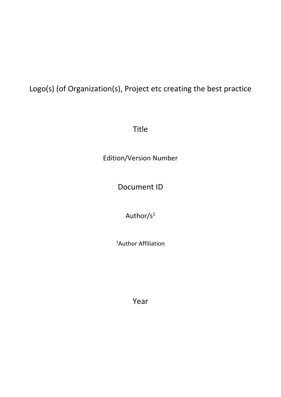# Logo(s) (of Organization(s), Project etc creating the best practice

Title

Edition/Version Number

Document ID

Author/s<sup>1</sup>

<sup>1</sup>Author Affiliation

Year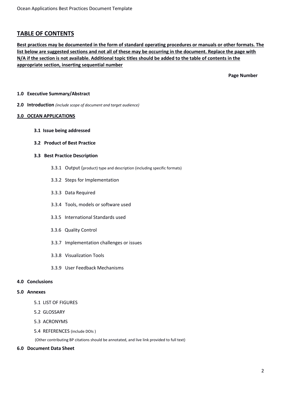# **TABLE OF CONTENTS**

**Best practices may be documented in the form of standard operating procedures or manuals or other formats. The list below are suggested sections and not all of these may be occurring in the document. Replace the page with N/A if the section is not available. Additional topic titles should be added to the table of contents in the appropriate section, inserting sequential number** 

 **Page Number**

# **1.0 Executive Summary/Abstract**

**2.0 Introduction** *(include scope of document and target audience)*

## **3.0 OCEAN APPLICATIONS**

**3.1 Issue being addressed**

## **3.2 Product of Best Practice**

## **3.3 Best Practice Description**

- 3.3.1 Output (product) type and description (including specific formats)
- 3.3.2 Steps for Implementation
- 3.3.3 Data Required
- 3.3.4 Tools, models or software used
- 3.3.5 International Standards used
- 3.3.6 Quality Control
- 3.3.7 Implementation challenges or issues
- 3.3.8 Visualization Tools
- 3.3.9 User Feedback Mechanisms

#### **4.0 Conclusions**

#### **5.0 Annexes**

- 5.1 LIST OF FIGURES
- 5.2 GLOSSARY
- 5.3 ACRONYMS
- 5.4 REFERENCES (include DOIs )

(Other contributing BP citations should be annotated, and live link provided to full text)

# **6.0 Document Data Sheet**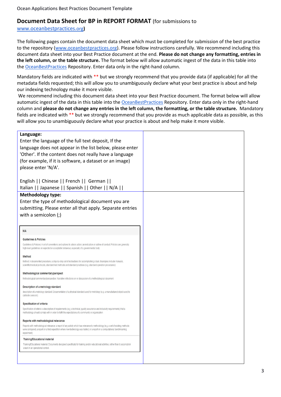# **Document Data Sheet for BP in REPORT FORMAT** (for submissions to

# [www.oceanbestpractices.](https://www.oceanbestpractices.org/)[org](https://www.oceanbestpractices.org/)**)**

The following pages contain the document data sheet which must be completed for submission of the best practice to the repository [\(www.oceanbestpractices.org\)](http://www.oceanbestpractices.org/). Please follow instructions carefully. We recommend including this document data sheet into your Best Practice document at the end. **Please do not change any formatting, entries in the left column, or the table structure.** The format below will allow automatic ingest of the data in this table into the [OceanBestPractices](https://www.oceanbestpractices.net/) Repository. Enter data only in the right-hand column.

Mandatory fields are indicated with \*\* but we strongly recommend that you provide data (if applicable) for all the metadata fields requested; this will allow you to unambiguously declare what your best practice is about and help our indexing technology make it more visible.

We recommend including this document data sheet into your Best Practice document. The format below will allow automatic ingest of the data in this table into th[e OceanBestPractices](https://www.oceanbestpractices.net/) Repository. Enter data only in the right-hand column and **please do not change any entries in the left column, the formatting, or the table structure.** Mandatory fields are indicated with \*\* but we strongly recommend that you provide as much applicable data as possible, as this will allow you to unambiguously declare what your practice is about and help make it more visible.

| Language:                                                                                                                                                                                                                                                                       |  |  |  |
|---------------------------------------------------------------------------------------------------------------------------------------------------------------------------------------------------------------------------------------------------------------------------------|--|--|--|
| Enter the language of the full text deposit, If the                                                                                                                                                                                                                             |  |  |  |
| language does not appear in the list below, please enter                                                                                                                                                                                                                        |  |  |  |
| 'Other'. If the content does not really have a language                                                                                                                                                                                                                         |  |  |  |
| (for example, if it is software, a dataset or an image)                                                                                                                                                                                                                         |  |  |  |
| please enter 'N/A'.                                                                                                                                                                                                                                                             |  |  |  |
|                                                                                                                                                                                                                                                                                 |  |  |  |
| English     Chinese     French     German                                                                                                                                                                                                                                       |  |  |  |
| Italian     Japanese     Spanish     Other     N/A                                                                                                                                                                                                                              |  |  |  |
| <b>Methodology type:</b>                                                                                                                                                                                                                                                        |  |  |  |
| Enter the type of methodological document you are                                                                                                                                                                                                                               |  |  |  |
| submitting. Please enter all that apply. Separate entries                                                                                                                                                                                                                       |  |  |  |
| with a semicolon (;)                                                                                                                                                                                                                                                            |  |  |  |
|                                                                                                                                                                                                                                                                                 |  |  |  |
|                                                                                                                                                                                                                                                                                 |  |  |  |
| <b>N/A</b>                                                                                                                                                                                                                                                                      |  |  |  |
| <b>Guidelines &amp; Policies</b>                                                                                                                                                                                                                                                |  |  |  |
| Guidelines & Policies: A set of conventions and options to advice action; an indication or outline of conduct. Policies are generally<br>high-level guidelines on expected or acceptable behaviour, especially of a governmental body                                           |  |  |  |
| Method                                                                                                                                                                                                                                                                          |  |  |  |
| Method: A documented procedure, a step-by-step set of instructions for accomplishing a task. Examples include manuals,<br>scientific/medical protocols, standard test methods and standard practices (e.g. standard operation procedures)                                       |  |  |  |
| Methodological commentary/perspect                                                                                                                                                                                                                                              |  |  |  |
| Methodological commentary/perspective: Narrative reflections on or discussion of a methodological document                                                                                                                                                                      |  |  |  |
| Description of a metrology standard                                                                                                                                                                                                                                             |  |  |  |
| description of a metrology standard: Documentation of a physical standard used for metrology (e.g. a manufactured object used to<br>calibrate sensors)                                                                                                                          |  |  |  |
| Specification of criteria                                                                                                                                                                                                                                                       |  |  |  |
| Specification of criteria: a description of requirements (e.g. a technical, quality assurance and inclusivity requirements) that a<br>methodology should comply with in order to fullfil the expectations of a community or organisation                                        |  |  |  |
| Reports with methodological relevance                                                                                                                                                                                                                                           |  |  |  |
| Reports with methodological relevance: a report of any activity which has relevance to methodology (e.g. a set of existing methods<br>were compared, a report on a field expedition where new technology was tested, or a report on a computational benchmarking<br>experiment) |  |  |  |
| Training/Educational material                                                                                                                                                                                                                                                   |  |  |  |
| Training/Educational material: Documents designed specifically for training and/or educational activities, rather than to accomplish<br>a task in an operational context.                                                                                                       |  |  |  |
|                                                                                                                                                                                                                                                                                 |  |  |  |
|                                                                                                                                                                                                                                                                                 |  |  |  |
|                                                                                                                                                                                                                                                                                 |  |  |  |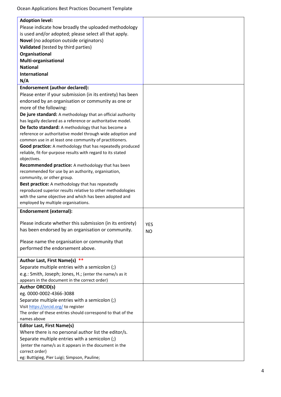| <b>Adoption level:</b>                                      |            |
|-------------------------------------------------------------|------------|
| Please indicate how broadly the uploaded methodology        |            |
| is used and/or adopted; please select all that apply.       |            |
| Novel (no adoption outside originators)                     |            |
| Validated (tested by third parties)                         |            |
| Organisational                                              |            |
| Multi-organisational                                        |            |
| <b>National</b>                                             |            |
| <b>International</b>                                        |            |
| N/A                                                         |            |
| <b>Endorsement (author declared):</b>                       |            |
| Please enter if your submission (in its entirety) has been  |            |
| endorsed by an organisation or community as one or          |            |
| more of the following:                                      |            |
| De jure standard: A methodology that an official authority  |            |
| has legally declared as a reference or authoritative model. |            |
| De facto standard: A methodology that has become a          |            |
| reference or authoritative model through wide adoption and  |            |
| common use in at least one community of practitioners.      |            |
| Good practice: A methodology that has repeatedly produced   |            |
| reliable, fit-for-purpose results with regard to its stated |            |
| objectives.                                                 |            |
| Recommended practice: A methodology that has been           |            |
| recommended for use by an authority, organisation,          |            |
| community, or other group.                                  |            |
| Best practice: A methodology that has repeatedly            |            |
| reproduced superior results relative to other methodologies |            |
| with the same objective and which has been adopted and      |            |
| employed by multiple organisations.                         |            |
| <b>Endorsement (external):</b>                              |            |
| Please indicate whether this submission (in its entirety)   |            |
| has been endorsed by an organisation or community.          | <b>YES</b> |
|                                                             | <b>NO</b>  |
| Please name the organisation or community that              |            |
| performed the endorsement above.                            |            |
|                                                             |            |
| Author Last, First Name(s) **                               |            |
| Separate multiple entries with a semicolon (;)              |            |
| e.g.: Smith, Joseph; Jones, H.; (enter the name/s as it     |            |
| appears in the document in the correct order)               |            |
| <b>Author ORCID(s)</b>                                      |            |
| eg. 0000-0002-4366-3088                                     |            |
| Separate multiple entries with a semicolon (;)              |            |
| Visit https://orcid.org/ to register                        |            |
| The order of these entries should correspond to that of the |            |
| names above                                                 |            |
| <b>Editor Last, First Name(s)</b>                           |            |
| Where there is no personal author list the editor/s.        |            |
| Separate multiple entries with a semicolon (;)              |            |
| (enter the name/s as it appears in the document in the      |            |
| correct order)                                              |            |
| eg: Buttigieg, Pier Luigi; Simpson, Pauline;                |            |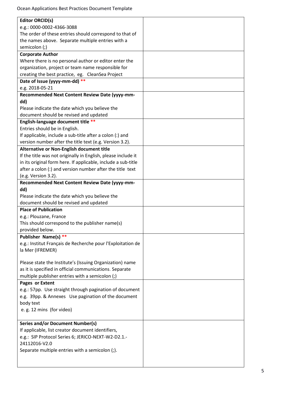Ocean Applications Best Practices Document Template

| <b>Editor ORCID(s)</b>                                        |  |
|---------------------------------------------------------------|--|
| e.g.: 0000-0002-4366-3088                                     |  |
| The order of these entries should correspond to that of       |  |
| the names above. Separate multiple entries with a             |  |
| semicolon (;)                                                 |  |
| <b>Corporate Author</b>                                       |  |
| Where there is no personal author or editor enter the         |  |
| organization, project or team name responsible for            |  |
| creating the best practice, eg. CleanSea Project              |  |
| Date of Issue (yyyy-mm-dd) **                                 |  |
| e.g. 2018-05-21                                               |  |
| Recommended Next Content Review Date (yyyy-mm-                |  |
| dd)                                                           |  |
| Please indicate the date which you believe the                |  |
| document should be revised and updated                        |  |
| English-language document title **                            |  |
| Entries should be in English.                                 |  |
| If applicable, include a sub-title after a colon (:) and      |  |
| version number after the title text (e.g. Version 3.2).       |  |
| Alternative or Non-English document title                     |  |
| If the title was not originally in English, please include it |  |
| in its original form here. If applicable, include a sub-title |  |
| after a colon (:) and version number after the title text     |  |
| (e.g. Version 3.2).                                           |  |
| Recommended Next Content Review Date (yyyy-mm-                |  |
| dd)                                                           |  |
| Please indicate the date which you believe the                |  |
| document should be revised and updated                        |  |
| <b>Place of Publication</b>                                   |  |
| e.g.: Plouzane, France                                        |  |
| This should correspond to the publisher name(s)               |  |
| provided below.                                               |  |
| Publisher Name(s) **                                          |  |
| e.g.: Institut Français de Recherche pour l'Exploitation de   |  |
| la Mer (IFREMER)                                              |  |
|                                                               |  |
| Please state the Institute's (Issuing Organization) name      |  |
| as it is specified in official communications. Separate       |  |
| multiple publisher entries with a semicolon (;)               |  |
| Pages or Extent                                               |  |
| e.g.: 57pp. Use straight through pagination of document       |  |
| e.g. 39pp. & Annexes Use pagination of the document           |  |
| body text                                                     |  |
| e.g. 12 mins (for video)                                      |  |
|                                                               |  |
| <b>Series and/or Document Number(s)</b>                       |  |
| If applicable, list creator document identifiers,             |  |
| e.g.: SIP Protocol Series 6; JERICO-NEXT-W2-D2.1.-            |  |
| 24112016-V2.0                                                 |  |
| Separate multiple entries with a semicolon (;).               |  |
|                                                               |  |
|                                                               |  |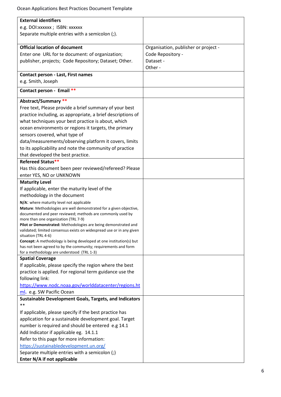| <b>External identifiers</b>                                                                                                              |                                      |
|------------------------------------------------------------------------------------------------------------------------------------------|--------------------------------------|
| e.g. DOI: xxxxxx ; ISBN: xxxxxx                                                                                                          |                                      |
| Separate multiple entries with a semicolon (;).                                                                                          |                                      |
| <b>Official location of document</b>                                                                                                     |                                      |
|                                                                                                                                          | Organisation, publisher or project - |
| Enter one URL for te document: of organization;                                                                                          | Code Repository -                    |
| publisher, projects; Code Repository; Dataset; Other.                                                                                    | Dataset -<br>Other -                 |
|                                                                                                                                          |                                      |
| <b>Contact person - Last, First names</b>                                                                                                |                                      |
| e.g. Smith, Joseph                                                                                                                       |                                      |
| Contact person - Email **                                                                                                                |                                      |
| Abstract/Summary **                                                                                                                      |                                      |
| Free text, Please provide a brief summary of your best                                                                                   |                                      |
| practice including, as appropriate, a brief descriptions of                                                                              |                                      |
| what techniques your best practice is about, which                                                                                       |                                      |
| ocean environments or regions it targets, the primary                                                                                    |                                      |
| sensors covered, what type of                                                                                                            |                                      |
| data/measurements/observing platform it covers, limits                                                                                   |                                      |
| to its applicability and note the community of practice                                                                                  |                                      |
| that developed the best practice.                                                                                                        |                                      |
| Refereed Status**                                                                                                                        |                                      |
| Has this document been peer reviewed/refereed? Please                                                                                    |                                      |
| enter YES, NO or UNKNOWN                                                                                                                 |                                      |
| <b>Maturity Level</b>                                                                                                                    |                                      |
| If applicable, enter the maturity level of the                                                                                           |                                      |
| methodology in the document                                                                                                              |                                      |
| N/A: where maturity level not applicable                                                                                                 |                                      |
| Mature: Methodologies are well demonstrated for a given objective,                                                                       |                                      |
| documented and peer reviewed; methods are commonly used by                                                                               |                                      |
| more than one organization (TRL 7-9)                                                                                                     |                                      |
| Pilot or Demonstrated: Methodologies are being demonstrated and<br>validated; limited consensus exists on widespread use or in any given |                                      |
| situation (TRL 4-6)                                                                                                                      |                                      |
| <b>Concept:</b> A methodology is being developed at one institution(s) but                                                               |                                      |
| has not been agreed to by the community; requirements and form                                                                           |                                      |
| for a methodology are understood (TRL 1-3)                                                                                               |                                      |
| <b>Spatial Coverage</b>                                                                                                                  |                                      |
| If applicable, please specify the region where the best                                                                                  |                                      |
| practice is applied. For regional term guidance use the                                                                                  |                                      |
| following link:                                                                                                                          |                                      |
| https://www.nodc.noaa.gov/worlddatacenter/regions.ht                                                                                     |                                      |
| ml. e.g. SW Pacific Ocean                                                                                                                |                                      |
| <b>Sustainable Development Goals, Targets, and Indicators</b><br>$**$                                                                    |                                      |
| If applicable, please specify if the best practice has                                                                                   |                                      |
| application for a sustainable development goal. Target                                                                                   |                                      |
| number is required and should be entered e.g 14.1                                                                                        |                                      |
| Add Indicator if applicable eg. 14.1.1                                                                                                   |                                      |
| Refer to this page for more information:                                                                                                 |                                      |
| https://sustainabledevelopment.un.org/                                                                                                   |                                      |
| Separate multiple entries with a semicolon (;)                                                                                           |                                      |
| Enter N/A if not applicable                                                                                                              |                                      |
|                                                                                                                                          |                                      |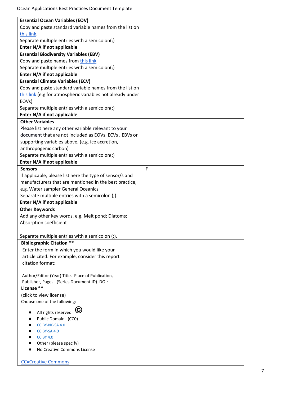| <b>Essential Ocean Variables (EOV)</b>                     |   |
|------------------------------------------------------------|---|
| Copy and paste standard variable names from the list on    |   |
| this link.                                                 |   |
| Separate multiple entries with a semicolon(;)              |   |
| Enter N/A if not applicable                                |   |
| <b>Essential Biodiversity Variables (EBV)</b>              |   |
| Copy and paste names from this link                        |   |
| Separate multiple entries with a semicolon(;)              |   |
| Enter N/A if not applicable                                |   |
| <b>Essential Climate Variables (ECV)</b>                   |   |
| Copy and paste standard variable names from the list on    |   |
| this link (e.g for atmospheric variables not already under |   |
| EOV <sub>s</sub> )                                         |   |
| Separate multiple entries with a semicolon(;)              |   |
| Enter N/A if not applicable                                |   |
| <b>Other Variables</b>                                     |   |
| Please list here any other variable relevant to your       |   |
| document that are not included as EOVs, ECVs, EBVs or      |   |
| supporting variables above, (e.g. ice accretion,           |   |
| anthropogenic carbon)                                      |   |
| Separate multiple entries with a semicolon(;)              |   |
| Enter N/A if not applicable                                |   |
| <b>Sensors</b>                                             | F |
| If applicable, please list here the type of sensor/s and   |   |
| manufacturers that are mentioned in the best practice,     |   |
| e.g. Water sampler General Oceanics.                       |   |
| Separate multiple entries with a semicolon (;).            |   |
| Enter N/A if not applicable                                |   |
| <b>Other Keywords</b>                                      |   |
| Add any other key words, e.g. Melt pond; Diatoms;          |   |
| Absorption coefficient                                     |   |
|                                                            |   |
| Separate multiple entries with a semicolon (;).            |   |
| <b>Bibliographic Citation **</b>                           |   |
| Enter the form in which you would like your                |   |
| article cited. For example, consider this report           |   |
| citation format:                                           |   |
|                                                            |   |
| Author/Editor (Year) Title. Place of Publication,          |   |
| Publisher, Pages. (Series Document ID). DOI:               |   |
| License **                                                 |   |
| (click to view license)                                    |   |
| Choose one of the following:                               |   |
| G                                                          |   |
| All rights reserved<br>Public Domain (CCO)                 |   |
| CC BY-NC-SA 4.0                                            |   |
| <b>CC BY-SA 4.0</b>                                        |   |
| <b>CC BY 4.0</b>                                           |   |
| Other (please specify)                                     |   |
| No Creative Commons License                                |   |
|                                                            |   |
| <b>CC=Creative Commons</b>                                 |   |